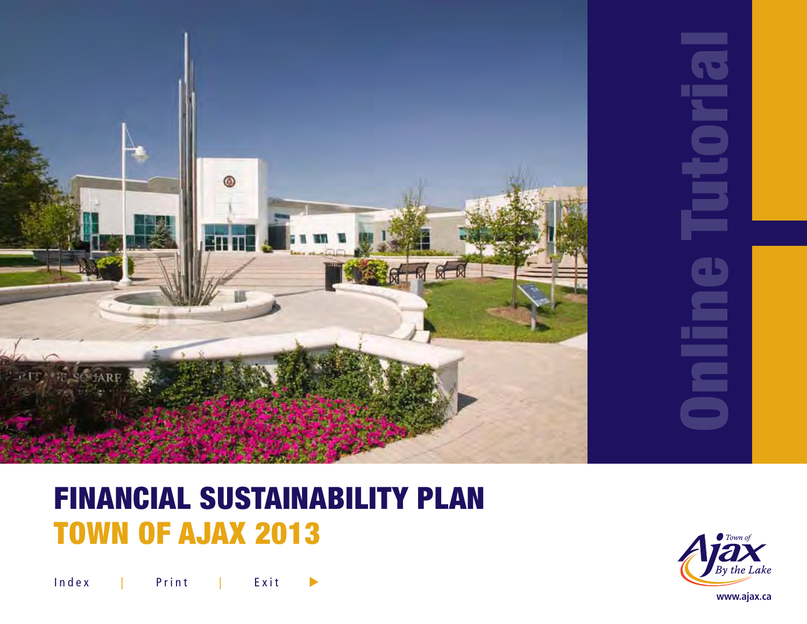

# FINANCIAL SUSTAINABILITY PLAN TOWN OF AJAX 2013

 Index | Print | Exit u 

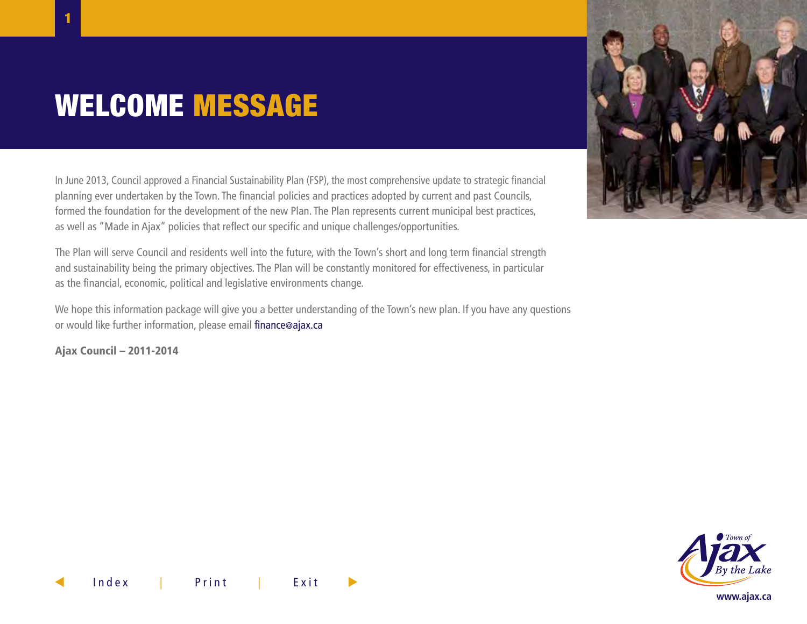## WELCOME MESSAGE

In June 2013, Council approved a Financial Sustainability Plan (FSP), the most comprehensive update to strategic financial planning ever undertaken by the Town. The financial policies and practices adopted by current and past Councils, formed the foundation for the development of the new Plan. The Plan represents current municipal best practices, as well as "Made in Ajax" policies that reflect our specific and unique challenges/opportunities.

The Plan will serve Council and residents well into the future, with the Town's short and long term financial strength and sustainability being the primary objectives. The Plan will be constantly monitored for effectiveness, in particular as the financial, economic, political and legislative environments change.

We hope this information package will give you a better understanding of the Town's new plan. If you have any questions or would like further information, please email finance@ajax.ca

Ajax Council – 2011-2014



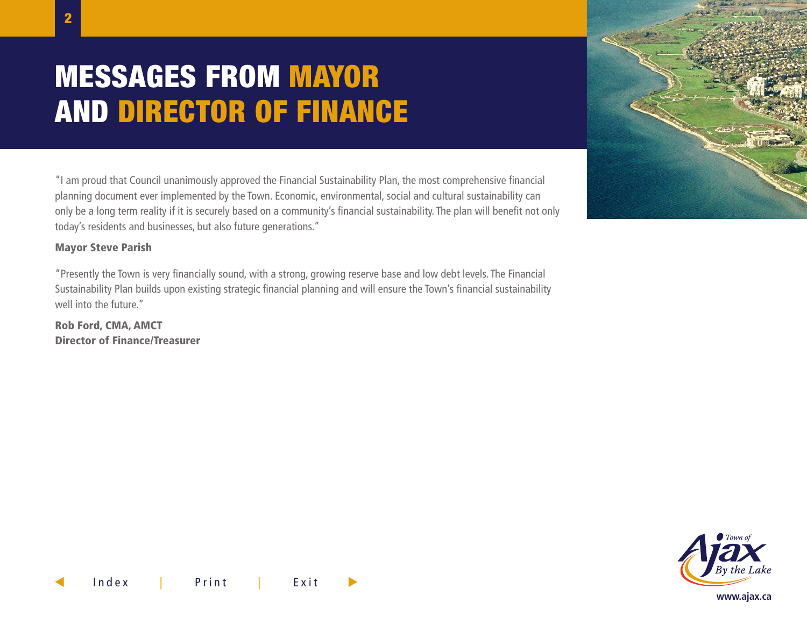# MESSAGES FROM MAYOR AND DIRECTOR OF FINANCE

"I am proud that Council unanimously approved the Financial Sustainability Plan, the most comprehensive financial planning document ever implemented by the Town. Economic, environmental, social and cultural sustainability can only be a long term reality if it is securely based on a community's financial sustainability. The plan will benefit not only today's residents and businesses, but also future generations."

#### Mayor Steve Parish

"Presently the Town is very financially sound, with a strong, growing reserve base and low debt levels. The Financial Sustainability Plan builds upon existing strategic financial planning and will ensure the Town's financial sustainability well into the future."

Rob Ford, CMA, AMCT Director of Finance/Treasurer



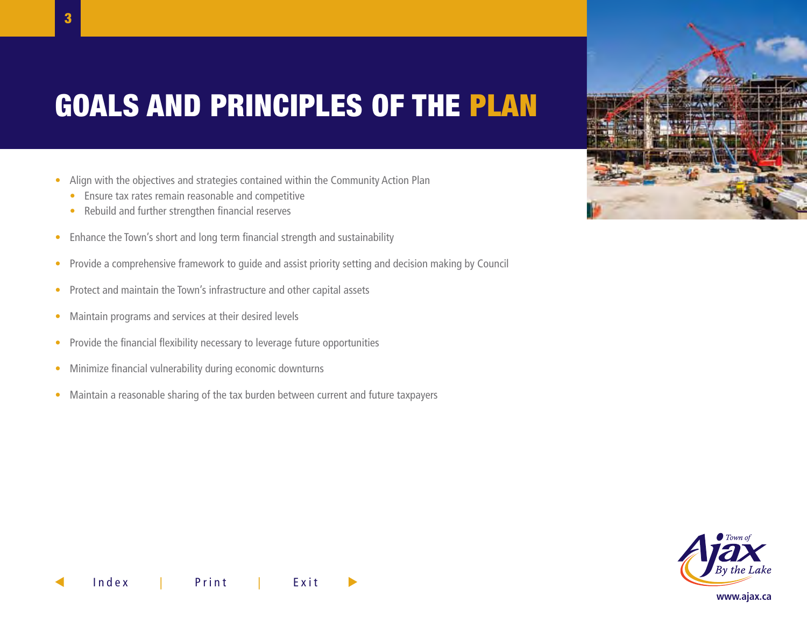## GOALS AND PRINCIPLES OF THE PLAN

- Align with the objectives and strategies contained within the Community Action Plan
	- Ensure tax rates remain reasonable and competitive
	- Rebuild and further strengthen financial reserves
- Enhance the Town's short and long term financial strength and sustainability
- Provide a comprehensive framework to guide and assist priority setting and decision making by Council
- Protect and maintain the Town's infrastructure and other capital assets
- Maintain programs and services at their desired levels
- Provide the financial flexibility necessary to leverage future opportunities
- Minimize financial vulnerability during economic downturns
- Maintain a reasonable sharing of the tax burden between current and future taxpayers



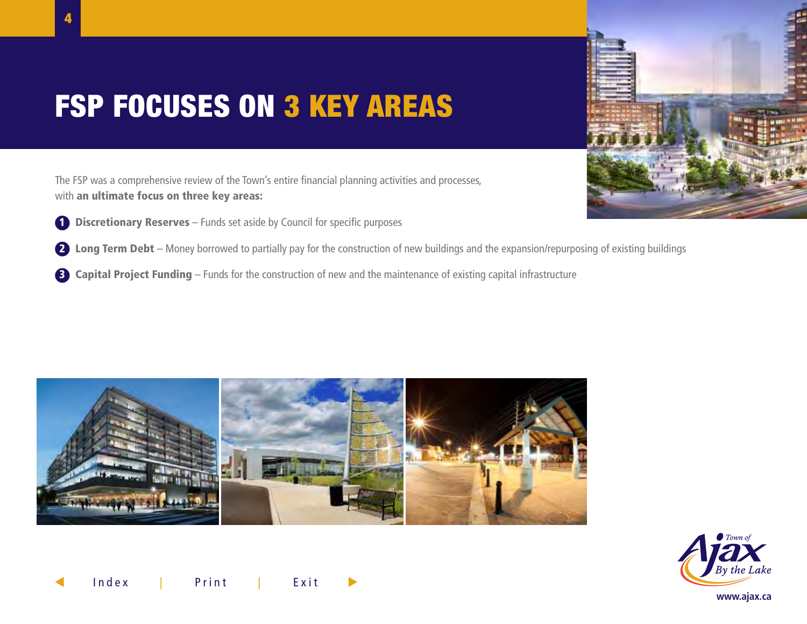## FSP FOCUSES ON 3 KEY AREAS

The FSP was a comprehensive review of the Town's entire financial planning activities and processes, with an ultimate focus on three key areas:

- 1 Discretionary Reserves Funds set aside by Council for specific purposes
- **2 Long Term Debt** Money borrowed to partially pay for the construction of new buildings and the expansion/repurposing of existing buildings
- 3 Capital Project Funding Funds for the construction of new and the maintenance of existing capital infrastructure





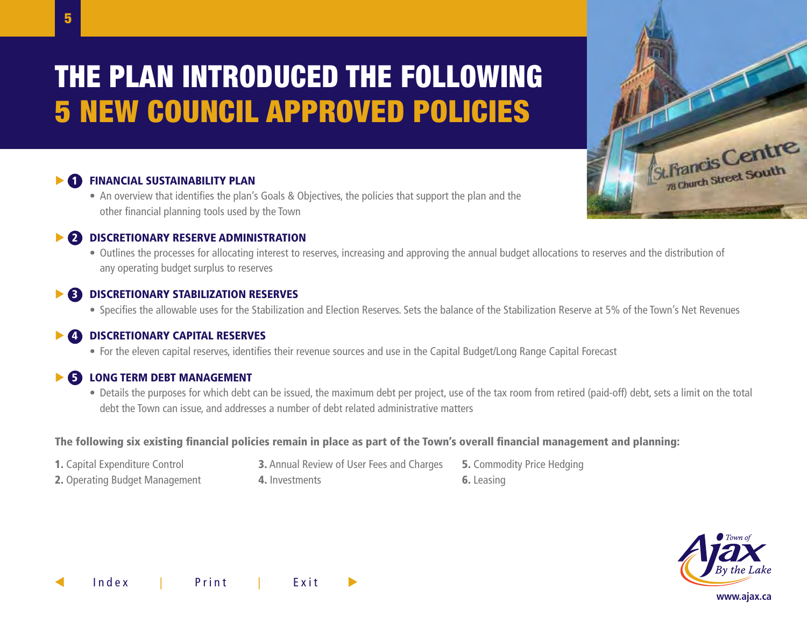# THE PLAN INTRODUCED THE FOLLOWING 5 NEW COUNCIL APPROVED POLICIES

## **1** FINANCIAL SUSTAINABILITY PLAN

• An overview that identifies the plan's Goals & Objectives, the policies that support the plan and the other financial planning tools used by the Town

### **2** DISCRETIONARY RESERVE ADMINISTRATION

• Outlines the processes for allocating interest to reserves, increasing and approving the annual budget allocations to reserves and the distribution of any operating budget surplus to reserves

### **3** DISCRETIONARY STABILIZATION RESERVES

• Specifies the allowable uses for the Stabilization and Election Reserves. Sets the balance of the Stabilization Reserve at 5% of the Town's Net Revenues

### **DISCRETIONARY CAPITAL RESERVES**

• For the eleven capital reserves, identifies their revenue sources and use in the Capital Budget/Long Range Capital Forecast

### **6 LONG TERM DEBT MANAGEMENT**

• Details the purposes for which debt can be issued, the maximum debt per project, use of the tax room from retired (paid-off) debt, sets a limit on the total debt the Town can issue, and addresses a number of debt related administrative matters

#### The following six existing financial policies remain in place as part of the Town's overall financial management and planning:

- 1. Capital Expenditure Control
- 2. Operating Budget Management
- 3. Annual Review of User Fees and Charges 4. Investments 5. Commodity Price Hedging 6. Leasing



5

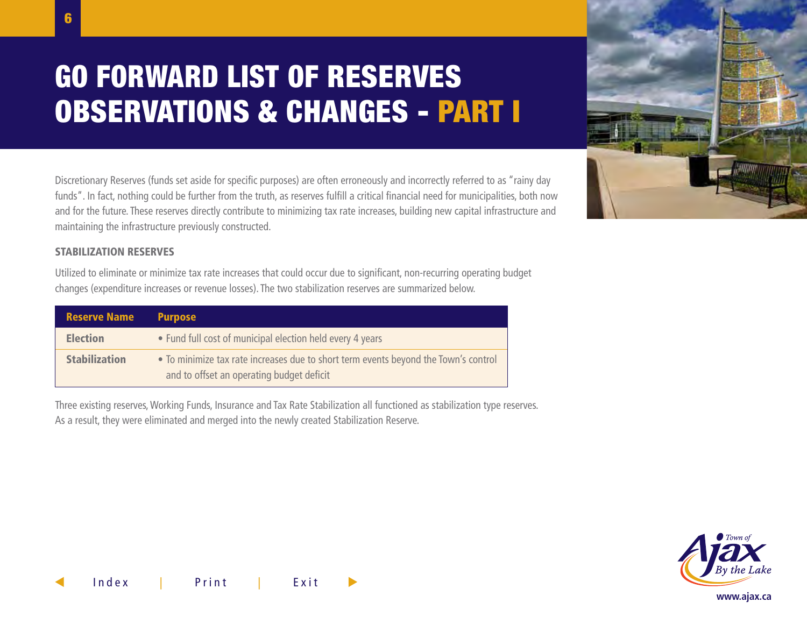# GO FORWARD LIST OF RESERVES OBSERVATIONS & CHANGES - PART I

Discretionary Reserves (funds set aside for specific purposes) are often erroneously and incorrectly referred to as "rainy day funds". In fact, nothing could be further from the truth, as reserves fulfill a critical financial need for municipalities, both now and for the future. These reserves directly contribute to minimizing tax rate increases, building new capital infrastructure and maintaining the infrastructure previously constructed.

#### STABILIZATION RESERVES

Utilized to eliminate or minimize tax rate increases that could occur due to significant, non-recurring operating budget changes (expenditure increases or revenue losses). The two stabilization reserves are summarized below.

| <b>Reserve Name</b>  | <b>Purpose</b>                                                                                                                   |
|----------------------|----------------------------------------------------------------------------------------------------------------------------------|
| <b>Election</b>      | . Fund full cost of municipal election held every 4 years                                                                        |
| <b>Stabilization</b> | • To minimize tax rate increases due to short term events beyond the Town's control<br>and to offset an operating budget deficit |

Three existing reserves, Working Funds, Insurance and Tax Rate Stabilization all functioned as stabilization type reserves. As a result, they were eliminated and merged into the newly created Stabilization Reserve.



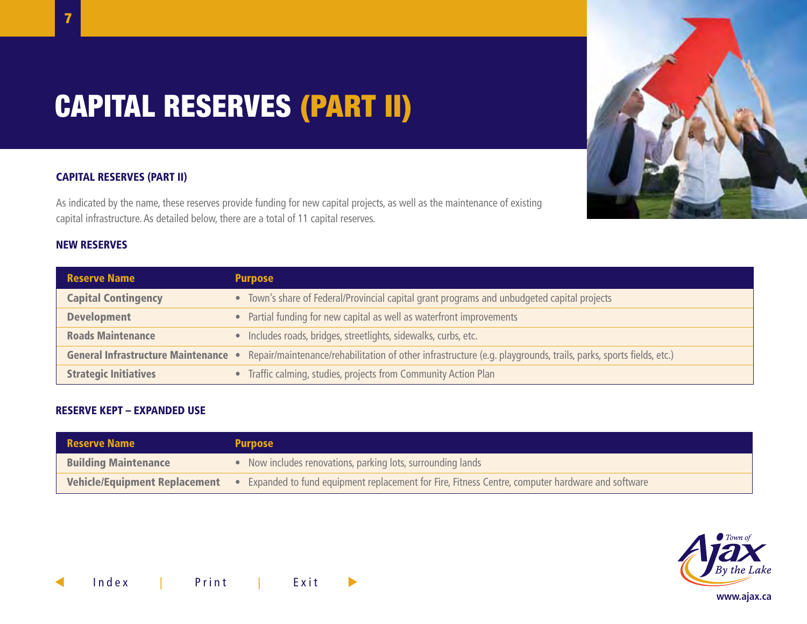# CAPITAL RESERVES (PART II)

#### CAPITAL RESERVES (PART II)

As indicated by the name, these reserves provide funding for new capital projects, as well as the maintenance of existing capital infrastructure. As detailed below, there are a total of 11 capital reserves.

#### NEW RESERVES

| <b>Reserve Name</b>                  | <b>Purpose</b>                                                                                                   |
|--------------------------------------|------------------------------------------------------------------------------------------------------------------|
| <b>Capital Contingency</b>           | • Town's share of Federal/Provincial capital grant programs and unbudgeted capital projects                      |
| <b>Development</b>                   | • Partial funding for new capital as well as waterfront improvements                                             |
| <b>Roads Maintenance</b>             | • Includes roads, bridges, streetlights, sidewalks, curbs, etc.                                                  |
| General Infrastructure Maintenance • | Repair/maintenance/rehabilitation of other infrastructure (e.g. playgrounds, trails, parks, sports fields, etc.) |
| <b>Strategic Initiatives</b>         | • Traffic calming, studies, projects from Community Action Plan                                                  |

#### RESERVE KEPT – EXPANDED USE

| <b>Reserve Name</b>                  | <b>Purpose</b>                                                                                    |
|--------------------------------------|---------------------------------------------------------------------------------------------------|
| <b>Building Maintenance</b>          | • Now includes renovations, parking lots, surrounding lands                                       |
| <b>Vehicle/Equipment Replacement</b> | • Expanded to fund equipment replacement for Fire, Fitness Centre, computer hardware and software |



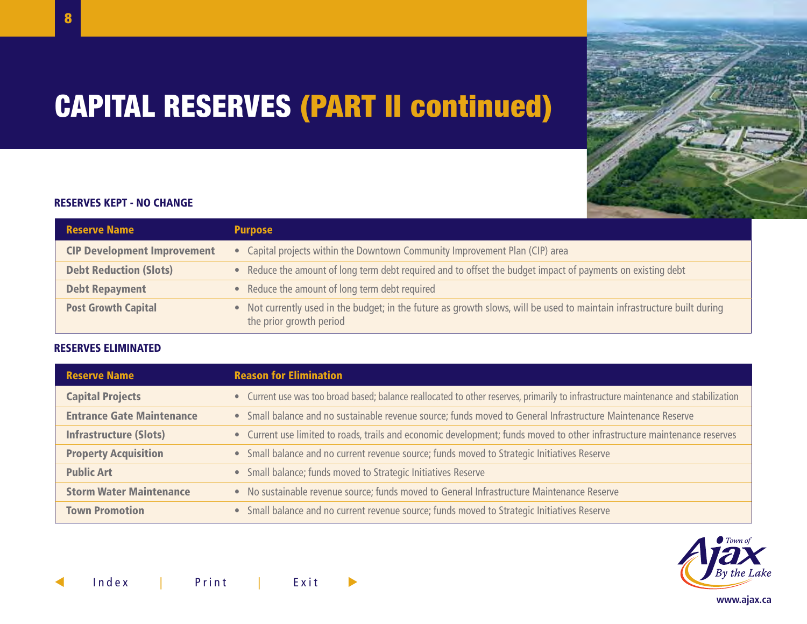# CAPITAL RESERVES (PART II continued)



#### RESERVES KEPT - NO CHANGE

| <b>Reserve Name</b>                | <b>Purpose</b>                                                                                                                                     |
|------------------------------------|----------------------------------------------------------------------------------------------------------------------------------------------------|
| <b>CIP Development Improvement</b> | • Capital projects within the Downtown Community Improvement Plan (CIP) area                                                                       |
| <b>Debt Reduction (Slots)</b>      | • Reduce the amount of long term debt required and to offset the budget impact of payments on existing debt                                        |
| <b>Debt Repayment</b>              | • Reduce the amount of long term debt required                                                                                                     |
| <b>Post Growth Capital</b>         | • Not currently used in the budget; in the future as growth slows, will be used to maintain infrastructure built during<br>the prior growth period |

#### RESERVES ELIMINATED

| <b>Reserve Name</b>              | <b>Reason for Elimination</b>                                                                                                       |
|----------------------------------|-------------------------------------------------------------------------------------------------------------------------------------|
| <b>Capital Projects</b>          | • Current use was too broad based; balance reallocated to other reserves, primarily to infrastructure maintenance and stabilization |
| <b>Entrance Gate Maintenance</b> | • Small balance and no sustainable revenue source; funds moved to General Infrastructure Maintenance Reserve                        |
| <b>Infrastructure (Slots)</b>    | • Current use limited to roads, trails and economic development; funds moved to other infrastructure maintenance reserves           |
| <b>Property Acquisition</b>      | • Small balance and no current revenue source; funds moved to Strategic Initiatives Reserve                                         |
| <b>Public Art</b>                | • Small balance; funds moved to Strategic Initiatives Reserve                                                                       |
| <b>Storm Water Maintenance</b>   | • No sustainable revenue source; funds moved to General Infrastructure Maintenance Reserve                                          |
| <b>Town Promotion</b>            | • Small balance and no current revenue source; funds moved to Strategic Initiatives Reserve                                         |

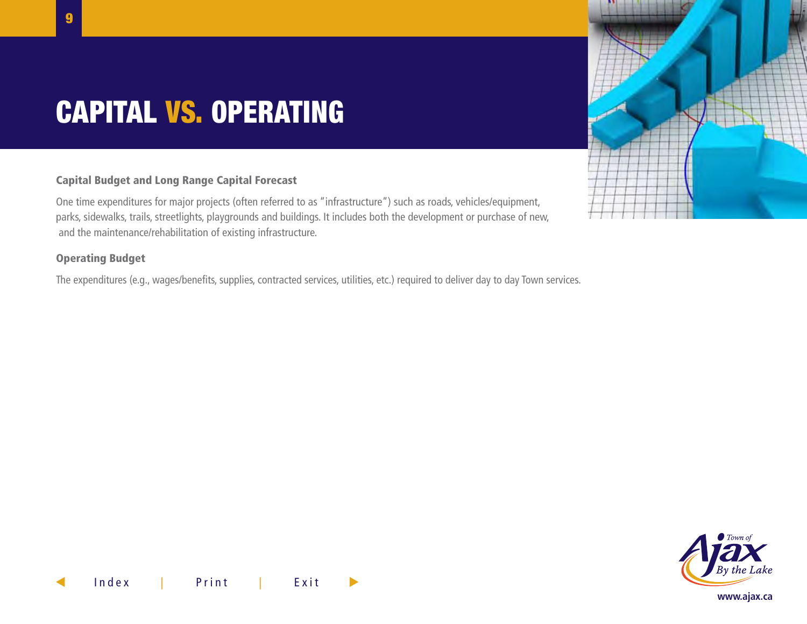# CAPITAL VS. OPERATING

### Capital Budget and Long Range Capital Forecast

One time expenditures for major projects (often referred to as "infrastructure") such as roads, vehicles/equipment, parks, sidewalks, trails, streetlights, playgrounds and buildings. It includes both the development or purchase of new, and the maintenance/rehabilitation of existing infrastructure.

#### Operating Budget

The expenditures (e.g., wages/benefits, supplies, contracted services, utilities, etc.) required to deliver day to day Town services.



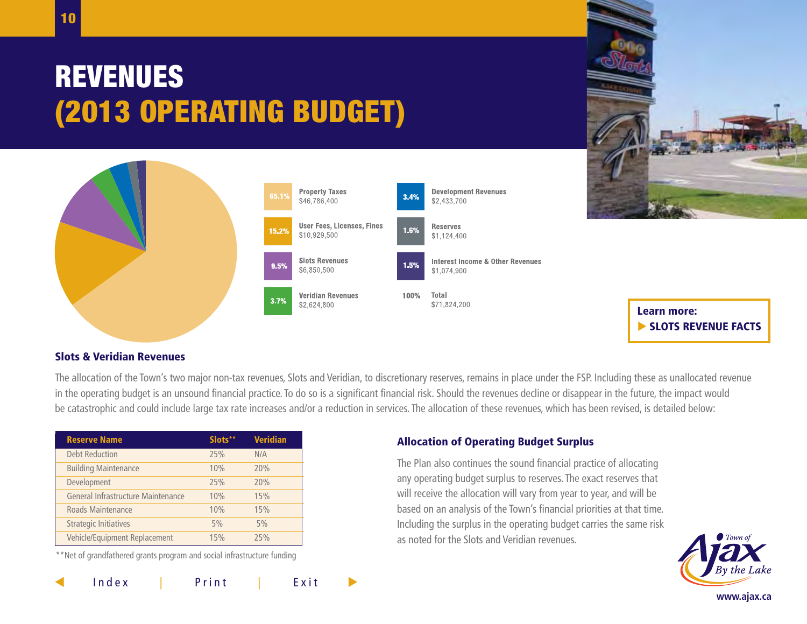# REVENUES (2013 OPERATING BUDGET)





Learn more: **[SLOTS REVENUE FACTS](http://icreate4.esolutionsgroup.ca/230734_TownOfAjax/en/livinginajax/resources/AjaxSlotsRevenueFacts.PDF?_mid_=10173)** 

#### Slots & Veridian Revenues

The allocation of the Town's two major non-tax revenues, Slots and Veridian, to discretionary reserves, remains in place under the FSP. Including these as unallocated revenue in the operating budget is an unsound financial practice. To do so is a significant financial risk. Should the revenues decline or disappear in the future, the impact would be catastrophic and could include large tax rate increases and/or a reduction in services. The allocation of these revenues, which has been revised, is detailed below:

| <b>Reserve Name</b>                | Slots** | <b>Veridian</b> |
|------------------------------------|---------|-----------------|
| <b>Debt Reduction</b>              | 25%     | N/A             |
| <b>Building Maintenance</b>        | 10%     | 20%             |
| Development                        | 25%     | 20%             |
| General Infrastructure Maintenance | 10%     | 15%             |
| Roads Maintenance                  | 10%     | 15%             |
| <b>Strategic Initiatives</b>       | 5%      | 5%              |
| Vehicle/Equipment Replacement      | 15%     | 25%             |

\*\*Net of grandfathered grants program and social infrastructure funding

#### Allocation of Operating Budget Surplus

The Plan also continues the sound financial practice of allocating any operating budget surplus to reserves. The exact reserves that will receive the allocation will vary from year to year, and will be based on an analysis of the Town's financial priorities at that time. Including the surplus in the operating budget carries the same risk as noted for the Slots and Veridian revenues.

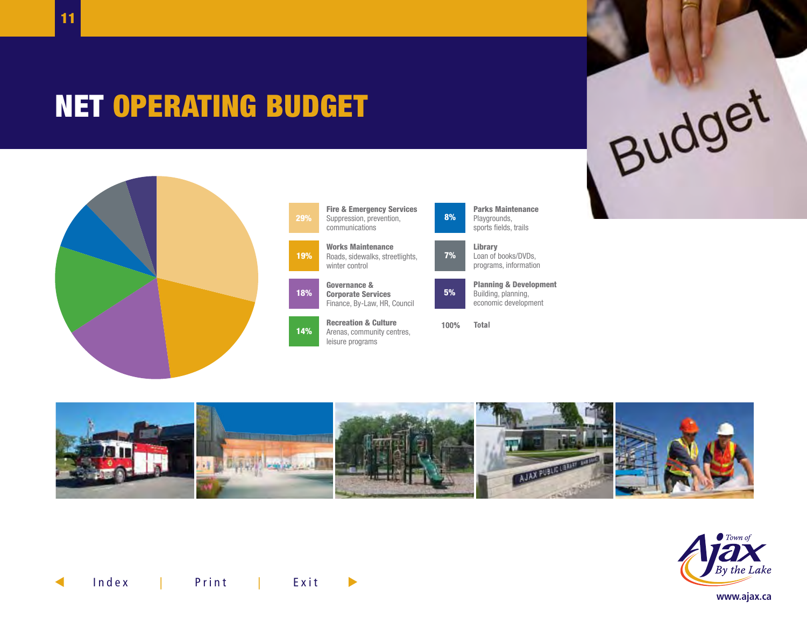## NET OPERATING BUDGET



| 29% | <b>Fire &amp; Emergency Services</b><br>Suppression, prevention,<br>communications |
|-----|------------------------------------------------------------------------------------|
| 19% | <b>Works Maintenance</b><br>Roads, sidewalks, streetlights,<br>winter control      |
| 18% | Governance &<br><b>Corporate Services</b><br>Finance, By-Law, HR, Council          |
| 14% | <b>Recreation &amp; Culture</b><br>Arenas, community centres,<br>leisure programs  |

Parks Maintenance Playgrounds, sports fields, trails

Library Loan of books/DVDs, programs, information Planning & Development Building, planning, economic development 7% 5%

100% Total

8%